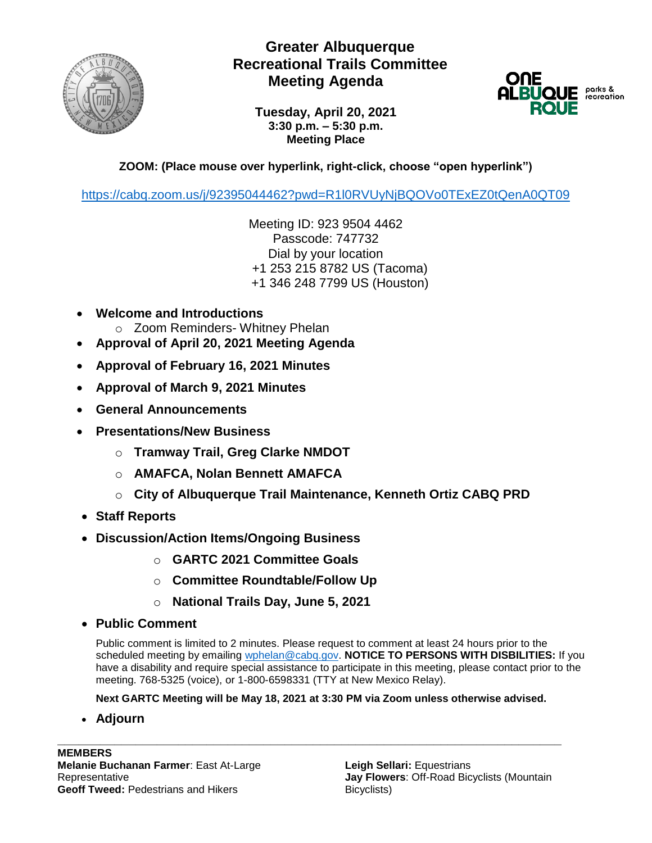

## **Greater Albuquerque Recreational Trails Committee Meeting Agenda**



**Tuesday, April 20, 2021 3:30 p.m. – 5:30 p.m. Meeting Place**

## **ZOOM: (Place mouse over hyperlink, right-click, choose "open hyperlink")**

<https://cabq.zoom.us/j/92395044462?pwd=R1l0RVUyNjBQOVo0TExEZ0tQenA0QT09>

Meeting ID: 923 9504 4462 Passcode: 747732 Dial by your location +1 253 215 8782 US (Tacoma) +1 346 248 7799 US (Houston)

- **Welcome and Introductions**
	- o Zoom Reminders- Whitney Phelan
- **Approval of April 20, 2021 Meeting Agenda**
- **Approval of February 16, 2021 Minutes**
- **Approval of March 9, 2021 Minutes**
- **General Announcements**
- **Presentations/New Business**
	- o **Tramway Trail, Greg Clarke NMDOT**
	- o **AMAFCA, Nolan Bennett AMAFCA**
	- o **City of Albuquerque Trail Maintenance, Kenneth Ortiz CABQ PRD**
- **Staff Reports**
- **Discussion/Action Items/Ongoing Business**
	- o **GARTC 2021 Committee Goals**
	- o **Committee Roundtable/Follow Up**
	- o **National Trails Day, June 5, 2021**
- **Public Comment**

Public comment is limited to 2 minutes. Please request to comment at least 24 hours prior to the scheduled meeting by emailing [wphelan@cabq.gov.](mailto:wphelan@cabq.gov) **NOTICE TO PERSONS WITH DISBILITIES:** If you have a disability and require special assistance to participate in this meeting, please contact prior to the meeting. 768-5325 (voice), or 1-800-6598331 (TTY at New Mexico Relay).

**Next GARTC Meeting will be May 18, 2021 at 3:30 PM via Zoom unless otherwise advised.**

**\_\_\_\_\_\_\_\_\_\_\_\_\_\_\_\_\_\_\_\_\_\_\_\_\_\_\_\_\_\_\_\_\_\_\_\_\_\_\_\_\_\_\_\_\_\_\_\_\_\_\_\_\_\_\_\_\_\_\_\_\_\_\_\_\_\_\_\_\_\_\_**

• **Adjourn**